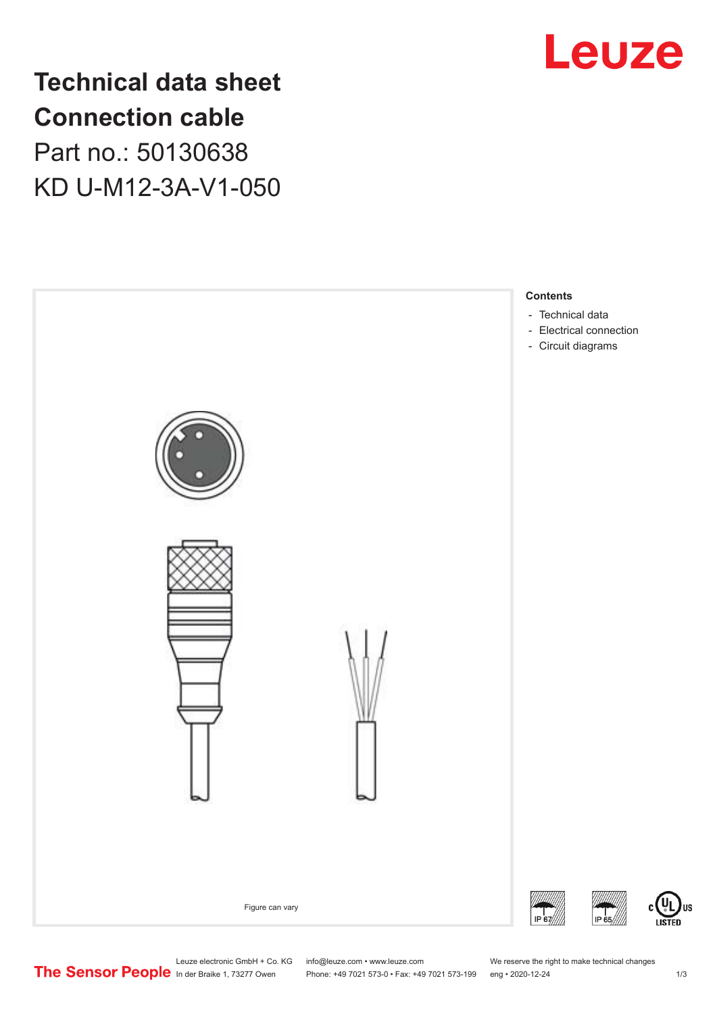

**Technical data sheet Connection cable** Part no.: 50130638 KD U-M12-3A-V1-050



US

Leuze electronic GmbH + Co. KG info@leuze.com • www.leuze.com We reserve the right to make technical changes<br>
The Sensor People in der Braike 1, 73277 Owen Phone: +49 7021 573-0 • Fax: +49 7021 573-199 eng • 2020-12-24

Phone: +49 7021 573-0 • Fax: +49 7021 573-199 eng • 2020-12-24 1 2020-12-24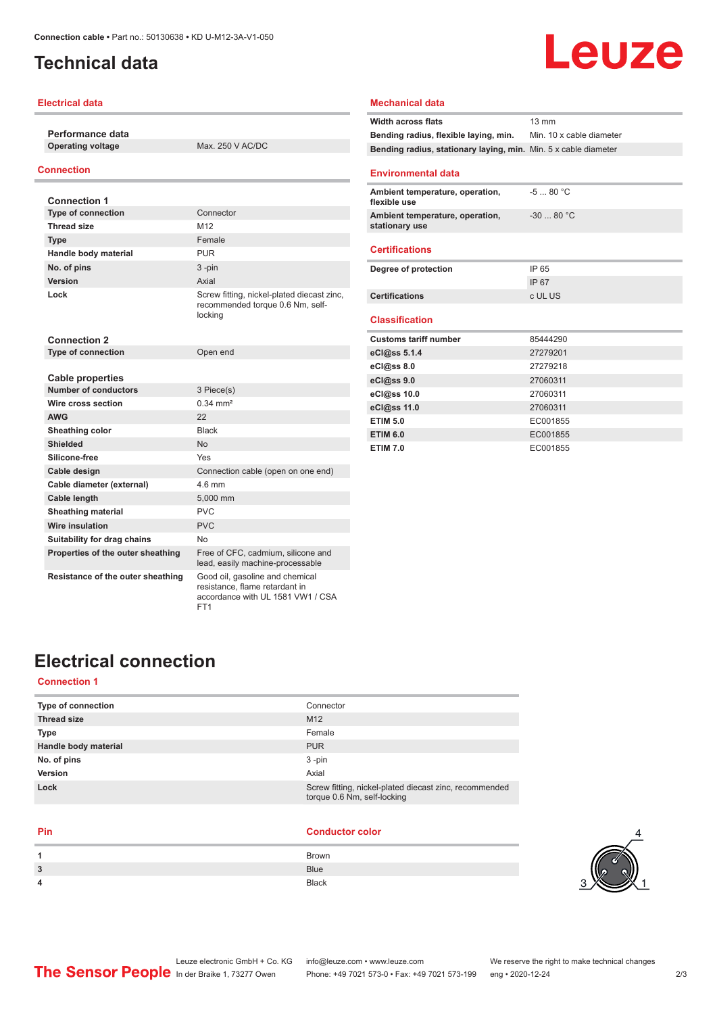# <span id="page-1-0"></span>**Technical data**

## **Electrical data**

**Performance data**

**Operating voltage** Max. 250 V AC/DC

## **Connection**

| <b>Connection 1</b>               |                                                                                           |
|-----------------------------------|-------------------------------------------------------------------------------------------|
| <b>Type of connection</b>         | Connector                                                                                 |
| Thread size                       | M <sub>12</sub>                                                                           |
| <b>Type</b>                       | Female                                                                                    |
| Handle body material              | <b>PUR</b>                                                                                |
| No. of pins                       | $3 - pin$                                                                                 |
| Version                           | Axial                                                                                     |
| Lock                              | Screw fitting, nickel-plated diecast zinc,<br>recommended torque 0.6 Nm, self-<br>locking |
| <b>Connection 2</b>               |                                                                                           |
| <b>Type of connection</b>         | Open end                                                                                  |
|                                   |                                                                                           |
| <b>Cable properties</b>           |                                                                                           |
| <b>Number of conductors</b>       | 3 Piece(s)                                                                                |
| Wire cross section                | $0.34 \, \text{mm}^2$                                                                     |
| <b>AWG</b>                        | 22                                                                                        |
| Sheathing color                   | <b>Black</b>                                                                              |
| <b>Shielded</b>                   | <b>No</b>                                                                                 |
| Silicone-free                     | Yes                                                                                       |
| Cable design                      | Connection cable (open on one end)                                                        |
| Cable diameter (external)         | $4.6$ mm                                                                                  |
| <b>Cable length</b>               | 5,000 mm                                                                                  |
| <b>Sheathing material</b>         | <b>PVC</b>                                                                                |
| Wire insulation                   | <b>PVC</b>                                                                                |
| Suitability for drag chains       | No                                                                                        |
| Properties of the outer sheathing | Free of CFC, cadmium, silicone and<br>lead, easily machine-processable                    |
| Resistance of the outer sheathing | Good oil, gasoline and chemical<br>resistance, flame retardant in                         |

FT1

## **Mechanical data**

| <b>Width across flats</b>                                       | $13 \text{ mm}$          |
|-----------------------------------------------------------------|--------------------------|
| Bending radius, flexible laying, min.                           | Min. 10 x cable diameter |
| Bending radius, stationary laying, min. Min. 5 x cable diameter |                          |
| <b>Environmental data</b>                                       |                          |
| Ambient temperature, operation,<br>flexible use                 | $-580 °C$                |
| Ambient temperature, operation,<br>stationary use               | $-3080 °C$               |
| <b>Certifications</b>                                           |                          |
| Degree of protection                                            | IP 65                    |
|                                                                 | <b>IP67</b>              |
| <b>Certifications</b>                                           | c UL US                  |
| <b>Classification</b>                                           |                          |
| <b>Customs tariff number</b>                                    | 85444290                 |
| eCl@ss 5.1.4                                                    | 27279201                 |
| eCl@ss 8.0                                                      | 27279218                 |
| eCl@ss 9.0                                                      | 27060311                 |
| eCl@ss 10.0                                                     | 27060311                 |
| eCl@ss 11.0                                                     | 27060311                 |
| <b>ETIM 5.0</b>                                                 | EC001855                 |
| <b>ETIM 6.0</b>                                                 | EC001855                 |
| <b>ETIM 7.0</b>                                                 | EC001855                 |

Leuze

# **Electrical connection**

## **Connection 1**

| <b>Type of connection</b> | Connector                                                                             |
|---------------------------|---------------------------------------------------------------------------------------|
| <b>Thread size</b>        | M <sub>12</sub>                                                                       |
| <b>Type</b>               | Female                                                                                |
| Handle body material      | <b>PUR</b>                                                                            |
| No. of pins               | $3 - pin$                                                                             |
| Version                   | Axial                                                                                 |
| Lock                      | Screw fitting, nickel-plated diecast zinc, recommended<br>torque 0.6 Nm, self-locking |
|                           |                                                                                       |

accordance with UL 1581 VW1 / CSA

### **Pin Conductor color**

| 1 | <b>Brown</b> |
|---|--------------|
| 3 | <b>Blue</b>  |
| 4 | Black        |
|   |              |